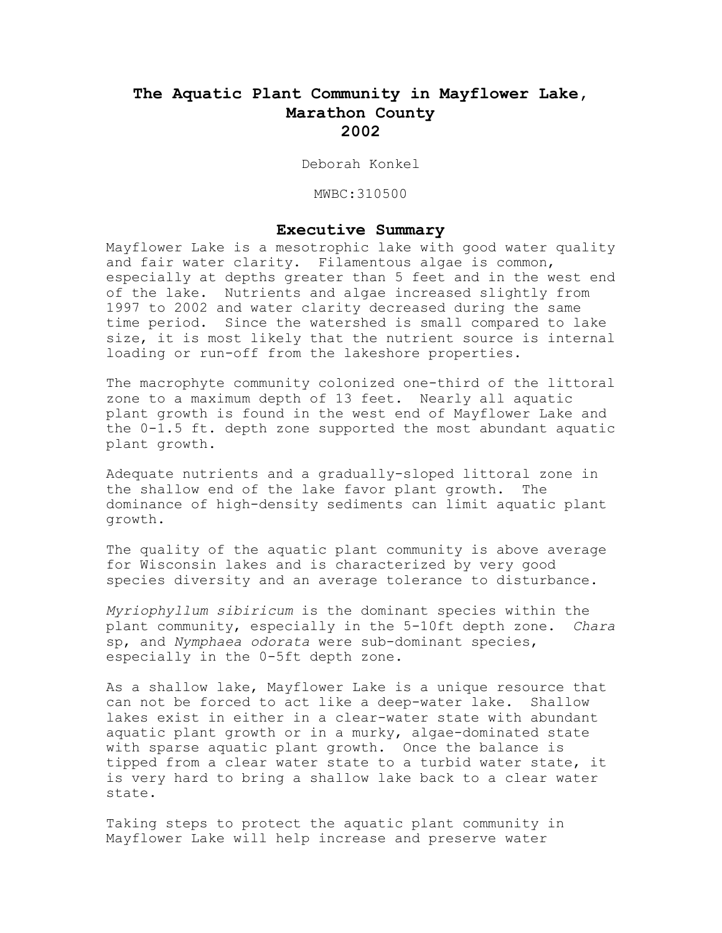# **The Aquatic Plant Community in Mayflower Lake, Marathon County 2002**

Deborah Konkel

MWBC:310500

### **Executive Summary**

Mayflower Lake is a mesotrophic lake with good water quality and fair water clarity. Filamentous algae is common, especially at depths greater than 5 feet and in the west end of the lake. Nutrients and algae increased slightly from 1997 to 2002 and water clarity decreased during the same time period. Since the watershed is small compared to lake size, it is most likely that the nutrient source is internal loading or run-off from the lakeshore properties.

The macrophyte community colonized one-third of the littoral zone to a maximum depth of 13 feet. Nearly all aquatic plant growth is found in the west end of Mayflower Lake and the 0-1.5 ft. depth zone supported the most abundant aquatic plant growth.

Adequate nutrients and a gradually-sloped littoral zone in the shallow end of the lake favor plant growth. The dominance of high-density sediments can limit aquatic plant growth.

The quality of the aquatic plant community is above average for Wisconsin lakes and is characterized by very good species diversity and an average tolerance to disturbance.

*Myriophyllum sibiricum* is the dominant species within the plant community, especially in the 5-10ft depth zone. *Chara* sp, and *Nymphaea odorata* were sub-dominant species, especially in the 0-5ft depth zone.

As a shallow lake, Mayflower Lake is a unique resource that can not be forced to act like a deep-water lake. Shallow lakes exist in either in a clear-water state with abundant aquatic plant growth or in a murky, algae-dominated state with sparse aquatic plant growth. Once the balance is tipped from a clear water state to a turbid water state, it is very hard to bring a shallow lake back to a clear water state.

Taking steps to protect the aquatic plant community in Mayflower Lake will help increase and preserve water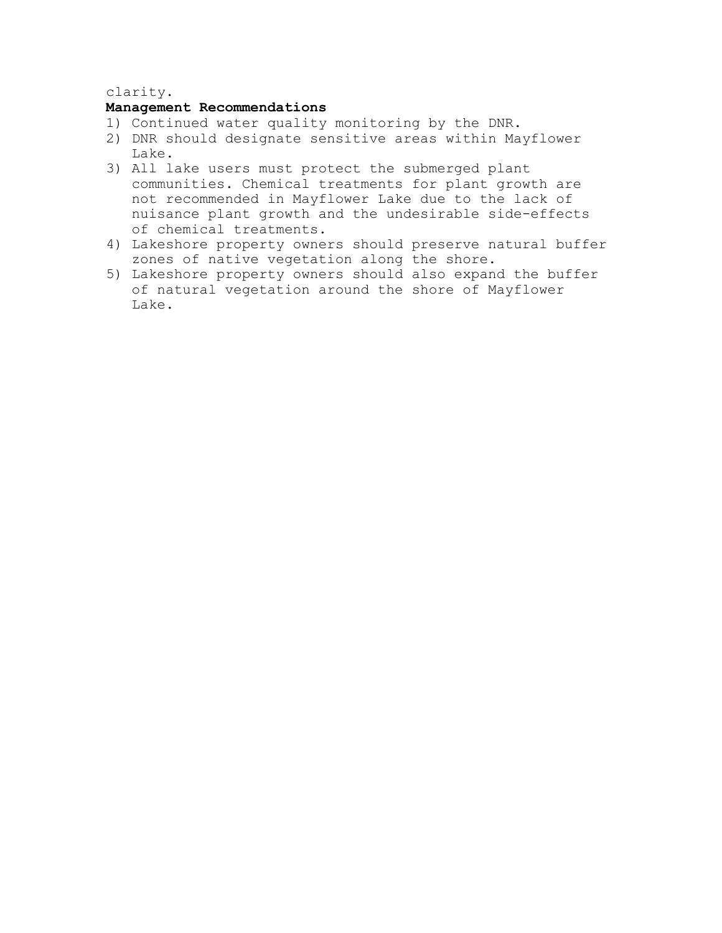# clarity.

# **Management Recommendations**

- 1) Continued water quality monitoring by the DNR.
- 2) DNR should designate sensitive areas within Mayflower Lake.
- 3) All lake users must protect the submerged plant communities. Chemical treatments for plant growth are not recommended in Mayflower Lake due to the lack of nuisance plant growth and the undesirable side-effects of chemical treatments.
- 4) Lakeshore property owners should preserve natural buffer zones of native vegetation along the shore.
- 5) Lakeshore property owners should also expand the buffer of natural vegetation around the shore of Mayflower Lake.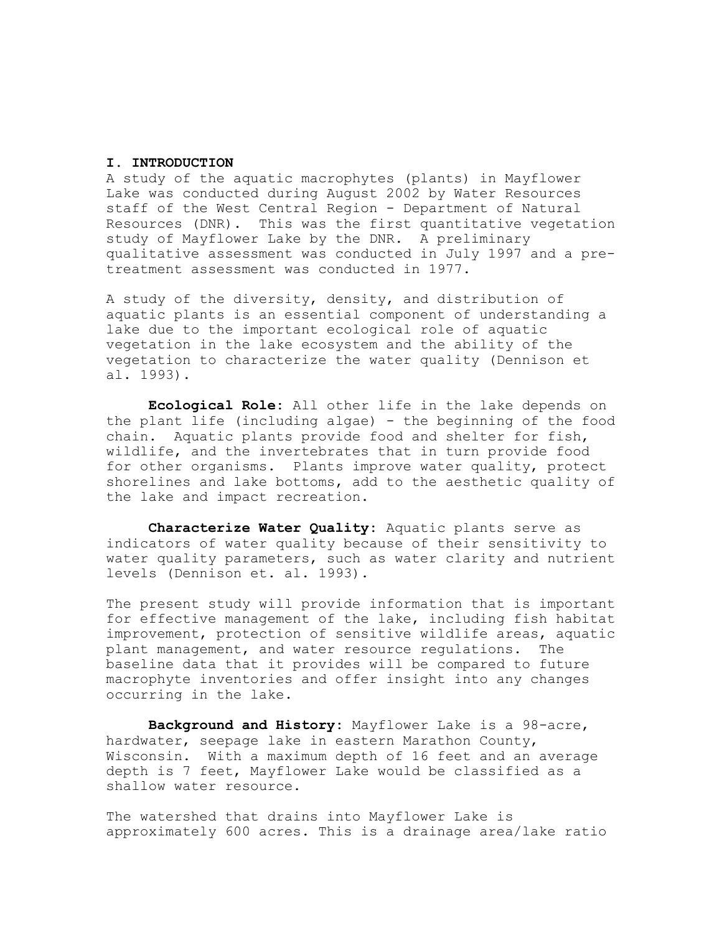# **I. INTRODUCTION**

A study of the aquatic macrophytes (plants) in Mayflower Lake was conducted during August 2002 by Water Resources staff of the West Central Region - Department of Natural Resources (DNR). This was the first quantitative vegetation study of Mayflower Lake by the DNR. A preliminary qualitative assessment was conducted in July 1997 and a pretreatment assessment was conducted in 1977.

A study of the diversity, density, and distribution of aquatic plants is an essential component of understanding a lake due to the important ecological role of aquatic vegetation in the lake ecosystem and the ability of the vegetation to characterize the water quality (Dennison et al. 1993).

**Ecological Role:** All other life in the lake depends on the plant life (including algae) - the beginning of the food chain. Aquatic plants provide food and shelter for fish, wildlife, and the invertebrates that in turn provide food for other organisms. Plants improve water quality, protect shorelines and lake bottoms, add to the aesthetic quality of the lake and impact recreation.

**Characterize Water Quality:** Aquatic plants serve as indicators of water quality because of their sensitivity to water quality parameters, such as water clarity and nutrient levels (Dennison et. al. 1993).

The present study will provide information that is important for effective management of the lake, including fish habitat improvement, protection of sensitive wildlife areas, aquatic plant management, and water resource regulations. The baseline data that it provides will be compared to future macrophyte inventories and offer insight into any changes occurring in the lake.

**Background and History:** Mayflower Lake is a 98-acre, hardwater, seepage lake in eastern Marathon County, Wisconsin. With a maximum depth of 16 feet and an average depth is 7 feet, Mayflower Lake would be classified as a shallow water resource.

The watershed that drains into Mayflower Lake is approximately 600 acres. This is a drainage area/lake ratio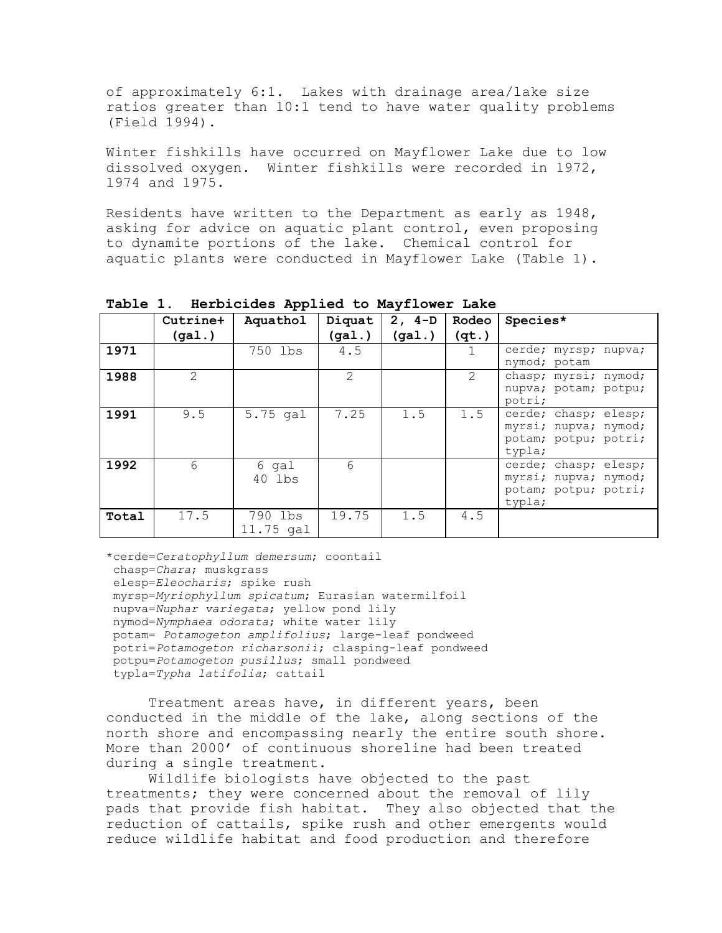of approximately 6:1. Lakes with drainage area/lake size ratios greater than 10:1 tend to have water quality problems (Field 1994).

Winter fishkills have occurred on Mayflower Lake due to low dissolved oxygen. Winter fishkills were recorded in 1972, 1974 and 1975.

Residents have written to the Department as early as 1948, asking for advice on aquatic plant control, even proposing to dynamite portions of the lake. Chemical control for aquatic plants were conducted in Mayflower Lake (Table 1).

|       | Cutrine+        | . .<br>Aquathol      | Diquat | $2, 4-D$ | Rodeo                | Species*                                                                       |
|-------|-----------------|----------------------|--------|----------|----------------------|--------------------------------------------------------------------------------|
|       | (gal.)          |                      | (gal.) | (gal.)   | (qt.)                |                                                                                |
| 1971  |                 | 750 lbs              | 4.5    |          |                      | cerde; myrsp; nupva;<br>nymod; potam                                           |
| 1988  | $\mathcal{L}$   |                      | 2      |          | $\sum_{i=1}^{n} a_i$ | chasp; myrsi; nymod;<br>nupva; potam; potpu;<br>potri;                         |
| 1991  | 9.5             | 5.75 gal             | 7.25   | 1.5      | 1.5                  | cerde; chasp; elesp;<br>myrsi; nupva; nymod;<br>potam; potpu; potri;<br>typla; |
| 1992  | $6\overline{6}$ | 6 gal<br>40 lbs      | 6      |          |                      | cerde; chasp; elesp;<br>myrsi; nupva; nymod;<br>potam; potpu; potri;<br>typla; |
| Total | 17.5            | 790 lbs<br>11.75 gal | 19.75  | 1.5      | 4.5                  |                                                                                |

**Table 1. Herbicides Applied to Mayflower Lake**

\*cerde=*Ceratophyllum demersum*; coontail chasp=*Chara*; muskgrass elesp=*Eleocharis*; spike rush myrsp=*Myriophyllum spicatum*; Eurasian watermilfoil nupva=*Nuphar variegata*; yellow pond lily nymod=*Nymphaea odorata*; white water lily potam= *Potamogeton amplifolius*; large-leaf pondweed potri=*Potamogeton richarsonii*; clasping-leaf pondweed potpu=*Potamogeton pusillus*; small pondweed typla=*Typha latifolia*; cattail

Treatment areas have, in different years, been conducted in the middle of the lake, along sections of the north shore and encompassing nearly the entire south shore. More than 2000' of continuous shoreline had been treated during a single treatment.

Wildlife biologists have objected to the past treatments; they were concerned about the removal of lily pads that provide fish habitat. They also objected that the reduction of cattails, spike rush and other emergents would reduce wildlife habitat and food production and therefore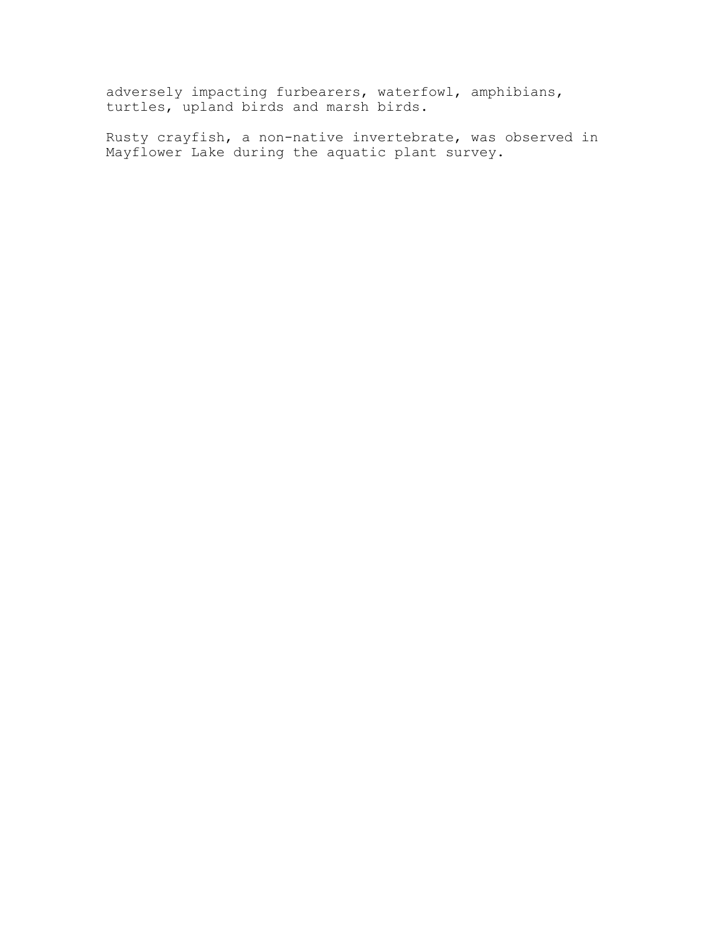adversely impacting furbearers, waterfowl, amphibians, turtles, upland birds and marsh birds.

Rusty crayfish, a non-native invertebrate, was observed in Mayflower Lake during the aquatic plant survey.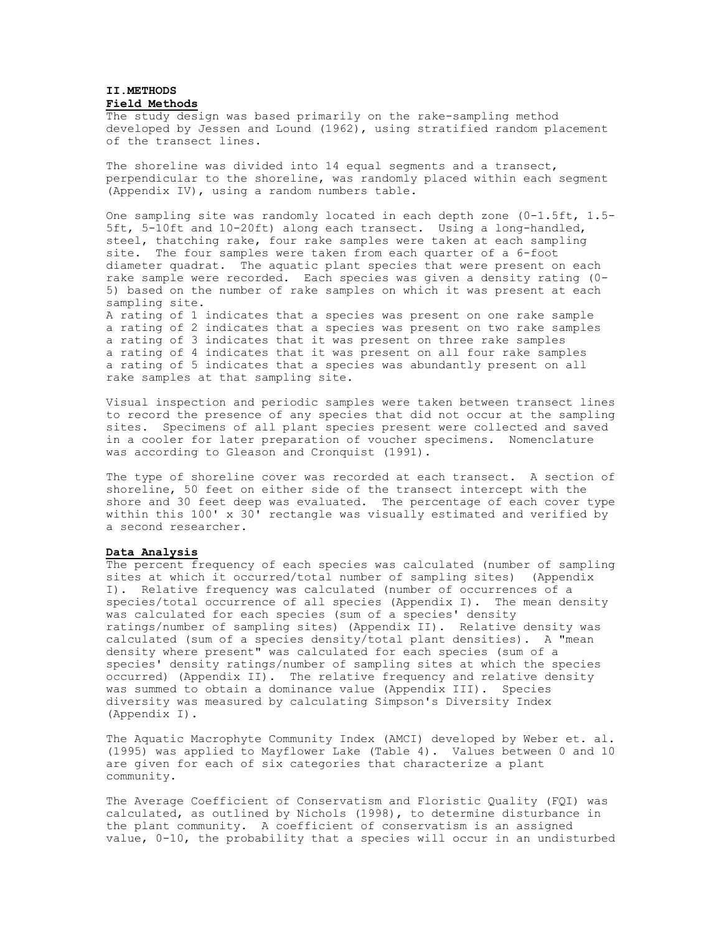## **II.METHODS Field Methods**

The study design was based primarily on the rake-sampling method developed by Jessen and Lound (1962), using stratified random placement of the transect lines.

The shoreline was divided into 14 equal segments and a transect, perpendicular to the shoreline, was randomly placed within each segment (Appendix IV), using a random numbers table.

One sampling site was randomly located in each depth zone (0-1.5ft, 1.5- 5ft, 5-10ft and 10-20ft) along each transect. Using a long-handled, steel, thatching rake, four rake samples were taken at each sampling site. The four samples were taken from each quarter of a 6-foot diameter quadrat. The aquatic plant species that were present on each rake sample were recorded. Each species was given a density rating (0- 5) based on the number of rake samples on which it was present at each sampling site.

A rating of 1 indicates that a species was present on one rake sample a rating of 2 indicates that a species was present on two rake samples a rating of 3 indicates that it was present on three rake samples a rating of 4 indicates that it was present on all four rake samples a rating of 5 indicates that a species was abundantly present on all rake samples at that sampling site.

Visual inspection and periodic samples were taken between transect lines to record the presence of any species that did not occur at the sampling sites. Specimens of all plant species present were collected and saved in a cooler for later preparation of voucher specimens. Nomenclature was according to Gleason and Cronquist (1991).

The type of shoreline cover was recorded at each transect. A section of shoreline, 50 feet on either side of the transect intercept with the shore and 30 feet deep was evaluated. The percentage of each cover type within this 100' x 30<sup>'</sup> rectangle was visually estimated and verified by a second researcher.

#### **Data Analysis**

The percent frequency of each species was calculated (number of sampling sites at which it occurred/total number of sampling sites) (Appendix I). Relative frequency was calculated (number of occurrences of a species/total occurrence of all species (Appendix I). The mean density was calculated for each species (sum of a species' density ratings/number of sampling sites) (Appendix II). Relative density was calculated (sum of a species density/total plant densities). A "mean density where present" was calculated for each species (sum of a species' density ratings/number of sampling sites at which the species occurred) (Appendix II). The relative frequency and relative density was summed to obtain a dominance value (Appendix III). Species diversity was measured by calculating Simpson's Diversity Index (Appendix I).

The Aquatic Macrophyte Community Index (AMCI) developed by Weber et. al. (1995) was applied to Mayflower Lake (Table 4). Values between 0 and 10 are given for each of six categories that characterize a plant community.

The Average Coefficient of Conservatism and Floristic Quality (FQI) was calculated, as outlined by Nichols (1998), to determine disturbance in the plant community. A coefficient of conservatism is an assigned value, 0-10, the probability that a species will occur in an undisturbed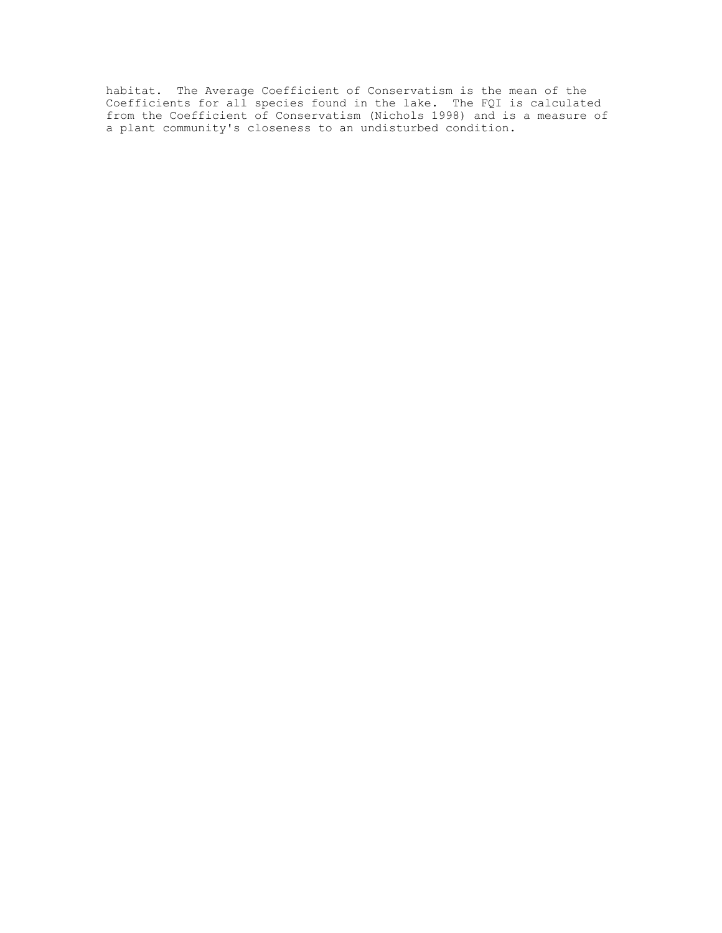habitat. The Average Coefficient of Conservatism is the mean of the Coefficients for all species found in the lake. The FQI is calculated from the Coefficient of Conservatism (Nichols 1998) and is a measure of a plant community's closeness to an undisturbed condition.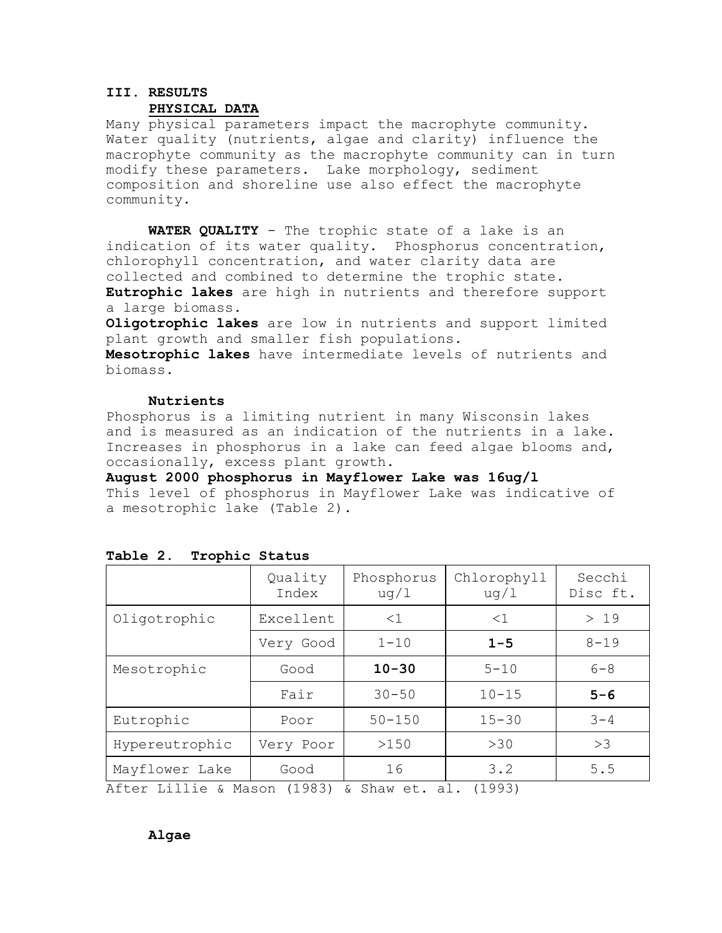# **III. RESULTS**

## **PHYSICAL DATA**

Many physical parameters impact the macrophyte community. Water quality (nutrients, algae and clarity) influence the macrophyte community as the macrophyte community can in turn modify these parameters. Lake morphology, sediment composition and shoreline use also effect the macrophyte community.

**WATER QUALITY** - The trophic state of a lake is an indication of its water quality. Phosphorus concentration, chlorophyll concentration, and water clarity data are collected and combined to determine the trophic state.

**Eutrophic lakes** are high in nutrients and therefore support a large biomass.

**Oligotrophic lakes** are low in nutrients and support limited plant growth and smaller fish populations.

**Mesotrophic lakes** have intermediate levels of nutrients and biomass.

## **Nutrients**

Phosphorus is a limiting nutrient in many Wisconsin lakes and is measured as an indication of the nutrients in a lake. Increases in phosphorus in a lake can feed algae blooms and, occasionally, excess plant growth.

**August 2000 phosphorus in Mayflower Lake was 16ug/l** This level of phosphorus in Mayflower Lake was indicative of a mesotrophic lake (Table 2).

|                                                               | Quality<br>Index | Phosphorus<br>uq/1 | Chlorophyll<br>uq/1 | Secchi<br>Disc ft. |
|---------------------------------------------------------------|------------------|--------------------|---------------------|--------------------|
| Oligotrophic                                                  | Excellent        | $<$ 1              | $\leq$ 1            | >19                |
|                                                               | Very Good        | $1 - 10$           | $1 - 5$             | $8 - 19$           |
| Mesotrophic                                                   | Good             | $10 - 30$          | $5 - 10$            | $6 - 8$            |
|                                                               | Fair             | $30 - 50$          | $10 - 15$           | $5 - 6$            |
| Eutrophic                                                     | Poor             | $50 - 150$         | $15 - 30$           | $3 - 4$            |
| Hypereutrophic                                                | Very Poor        | >150               | >30                 | >3                 |
| Mayflower Lake<br>$\lambda f + \alpha r$ Iillig (Magan (1993) | Good             | 16                 | 3.2                 | 5.5                |

#### **Table 2. Trophic Status**

After Lillie & Mason (1983) & Shaw et. al. (1993)

# **Algae**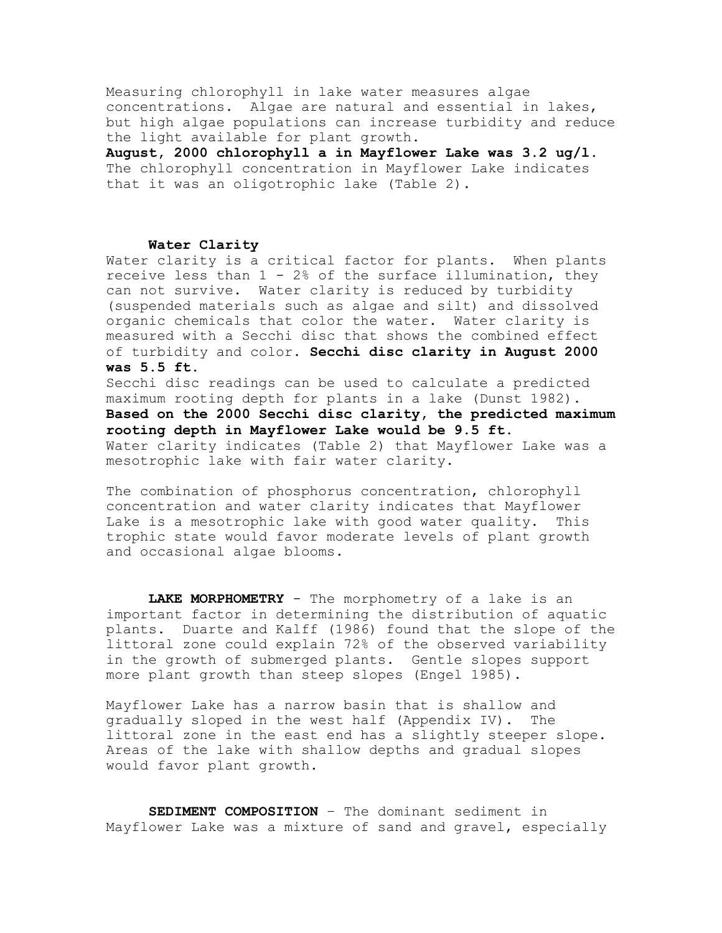Measuring chlorophyll in lake water measures algae concentrations. Algae are natural and essential in lakes, but high algae populations can increase turbidity and reduce the light available for plant growth.

**August, 2000 chlorophyll a in Mayflower Lake was 3.2 ug/l.** The chlorophyll concentration in Mayflower Lake indicates that it was an oligotrophic lake (Table 2).

## **Water Clarity**

Water clarity is a critical factor for plants. When plants receive less than  $1 - 2$ % of the surface illumination, they can not survive. Water clarity is reduced by turbidity (suspended materials such as algae and silt) and dissolved organic chemicals that color the water. Water clarity is measured with a Secchi disc that shows the combined effect of turbidity and color. **Secchi disc clarity in August 2000 was 5.5 ft.**

Secchi disc readings can be used to calculate a predicted maximum rooting depth for plants in a lake (Dunst 1982). **Based on the 2000 Secchi disc clarity, the predicted maximum rooting depth in Mayflower Lake would be 9.5 ft.** Water clarity indicates (Table 2) that Mayflower Lake was a mesotrophic lake with fair water clarity.

The combination of phosphorus concentration, chlorophyll concentration and water clarity indicates that Mayflower Lake is a mesotrophic lake with good water quality. This trophic state would favor moderate levels of plant growth and occasional algae blooms.

**LAKE MORPHOMETRY** - The morphometry of a lake is an important factor in determining the distribution of aquatic plants. Duarte and Kalff (1986) found that the slope of the littoral zone could explain 72% of the observed variability in the growth of submerged plants. Gentle slopes support more plant growth than steep slopes (Engel 1985).

Mayflower Lake has a narrow basin that is shallow and gradually sloped in the west half (Appendix IV). The littoral zone in the east end has a slightly steeper slope. Areas of the lake with shallow depths and gradual slopes would favor plant growth.

**SEDIMENT COMPOSITION** – The dominant sediment in Mayflower Lake was a mixture of sand and gravel, especially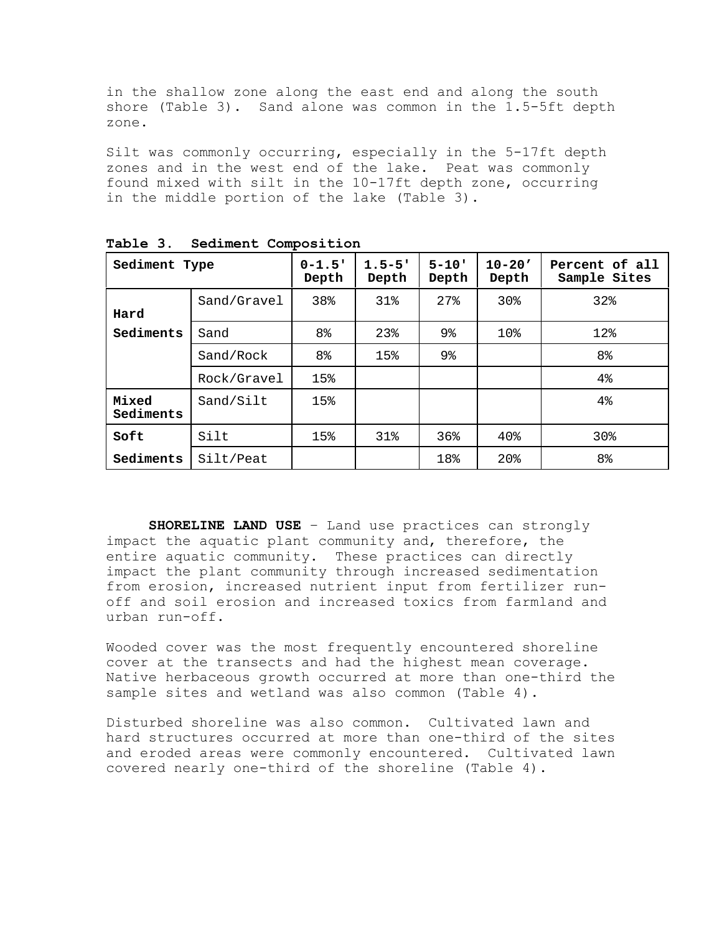in the shallow zone along the east end and along the south shore (Table 3). Sand alone was common in the 1.5-5ft depth zone.

Silt was commonly occurring, especially in the 5-17ft depth zones and in the west end of the lake. Peat was commonly found mixed with silt in the 10-17ft depth zone, occurring in the middle portion of the lake (Table 3).

| Sediment Type      |             | $0 - 1.5$ '<br>Depth | $1.5 - 5$ '<br>Depth | $5 - 10'$<br>Depth | $10 - 20'$<br>Depth | Percent of all<br>Sample Sites |
|--------------------|-------------|----------------------|----------------------|--------------------|---------------------|--------------------------------|
| Hard               | Sand/Gravel | 38%                  | 31%                  | 27%                | 30 <sub>8</sub>     | 32%                            |
| Sediments          | Sand        | 8 <sup>°</sup>       | 23%                  | 9 <sub>8</sub>     | 10%                 | 12%                            |
|                    | Sand/Rock   | 8 <sup>°</sup>       | 15%                  | 9 <sub>8</sub>     |                     | 8 <sup>°</sup>                 |
|                    | Rock/Gravel | 15%                  |                      |                    |                     | $4\%$                          |
| Mixed<br>Sediments | Sand/Silt   | 15%                  |                      |                    |                     | $4\%$                          |
| Soft               | Silt        | 15%                  | $31\%$               | 36%                | $40\%$              | 30 <sub>8</sub>                |
| Sediments          | Silt/Peat   |                      |                      | 18%                | 20 <sub>8</sub>     | 8 <sup>°</sup>                 |

**Table 3. Sediment Composition**

**SHORELINE LAND USE** – Land use practices can strongly impact the aquatic plant community and, therefore, the entire aquatic community. These practices can directly impact the plant community through increased sedimentation from erosion, increased nutrient input from fertilizer runoff and soil erosion and increased toxics from farmland and urban run-off.

Wooded cover was the most frequently encountered shoreline cover at the transects and had the highest mean coverage. Native herbaceous growth occurred at more than one-third the sample sites and wetland was also common (Table 4).

Disturbed shoreline was also common. Cultivated lawn and hard structures occurred at more than one-third of the sites and eroded areas were commonly encountered. Cultivated lawn covered nearly one-third of the shoreline (Table 4).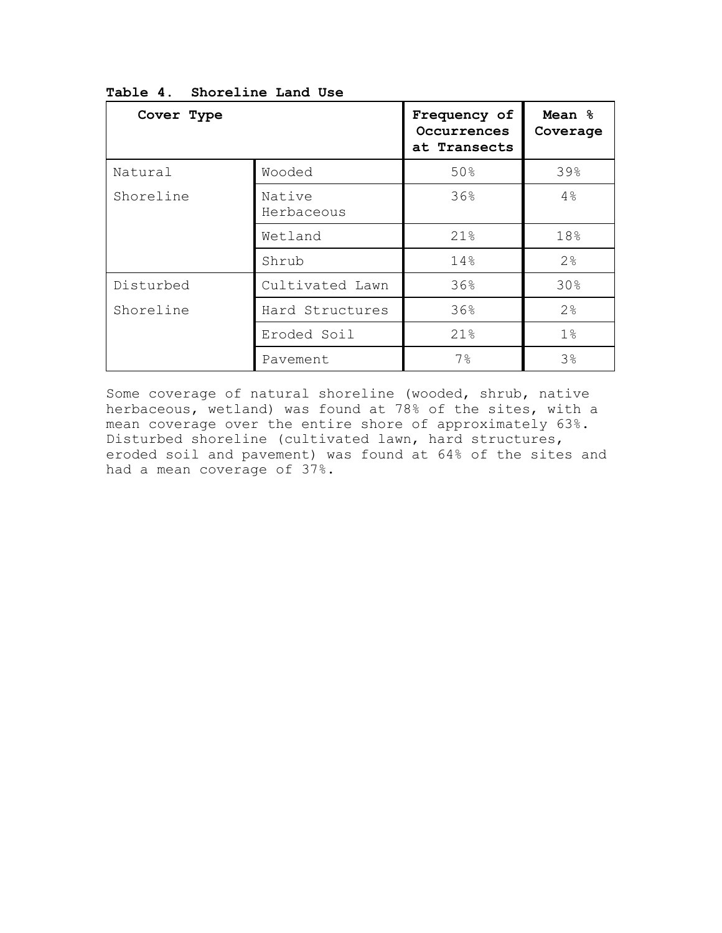| Cover Type                   |                      | Frequency of<br>Occurrences<br>at Transects | Mean %<br>Coverage |
|------------------------------|----------------------|---------------------------------------------|--------------------|
| Natural                      | Wooded               | 50%                                         | 39%                |
| Shoreline                    | Native<br>Herbaceous | 36%                                         | 4%                 |
|                              | Wetland              | 21%                                         | 18%                |
|                              | Shrub                | 14%                                         | 2%                 |
| Disturbed                    | Cultivated Lawn      | 36%                                         | 30%                |
| Shoreline<br>Hard Structures |                      | 36%                                         | 2 <sup>°</sup>     |
|                              | Eroded Soil          | 21%                                         | 1 <sup>°</sup>     |
|                              | Pavement             | $7\%$                                       | 3%                 |

**Table 4. Shoreline Land Use**

Some coverage of natural shoreline (wooded, shrub, native herbaceous, wetland) was found at 78% of the sites, with a mean coverage over the entire shore of approximately 63%. Disturbed shoreline (cultivated lawn, hard structures, eroded soil and pavement) was found at 64% of the sites and had a mean coverage of 37%.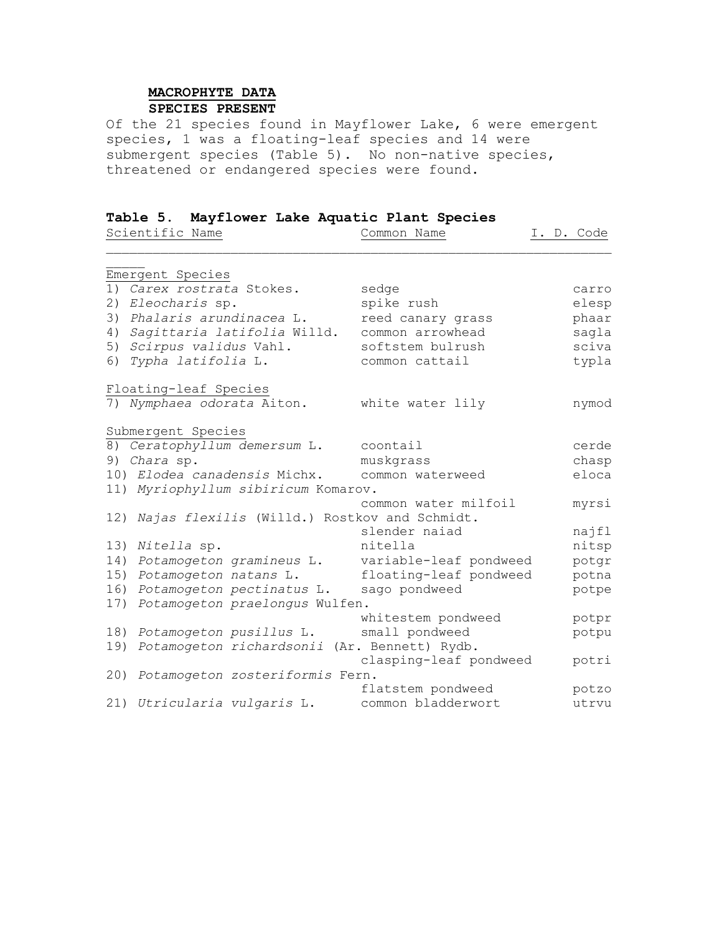# **MACROPHYTE DATA SPECIES PRESENT**

Of the 21 species found in Mayflower Lake, 6 were emergent species, 1 was a floating-leaf species and 14 were submergent species (Table 5). No non-native species, threatened or endangered species were found.

# **Table 5. Mayflower Lake Aquatic Plant Species**

|     | Scientific Name                                  | Common Name            | I. D. Code |
|-----|--------------------------------------------------|------------------------|------------|
|     | Emergent Species                                 |                        |            |
|     | 1) Carex rostrata Stokes.                        | sedge                  | carro      |
|     | 2) Eleocharis sp.                                | spike rush             | elesp      |
|     | 3) Phalaris arundinacea L.                       | reed canary grass      | phaar      |
|     | 4) Sagittaria latifolia Willd.                   | common arrowhead       | saqla      |
|     | 5) Scirpus validus Vahl.                         | softstem bulrush       | sciva      |
|     | 6) Typha latifolia L.                            | common cattail         | typla      |
|     | Floating-leaf Species                            |                        |            |
|     | 7) Nymphaea odorata Aiton.                       | white water lily       | nymod      |
|     | Submergent Species                               |                        |            |
|     | 8) Ceratophyllum demersum L.                     | coontail               | cerde      |
|     | 9) Chara sp.                                     | muskgrass              | chasp      |
|     | 10) Elodea canadensis Michx.                     | common waterweed       | eloca      |
|     | 11) Myriophyllum sibiricum Komarov.              |                        |            |
|     |                                                  | common water milfoil   | myrsi      |
|     | 12) Najas flexilis (Willd.) Rostkov and Schmidt. |                        |            |
|     |                                                  | slender naiad          | najfl      |
| 13) | Nitella sp.                                      | nitella                | nitsp      |
| 14) | Potamogeton gramineus L.                         | variable-leaf pondweed | potgr      |
| 15) | Potamogeton natans L.                            | floating-leaf pondweed | potna      |
| 16) | Potamogeton pectinatus L.                        | sago pondweed          | potpe      |
| 17) | Potamogeton praelongus Wulfen.                   |                        |            |
|     |                                                  | whitestem pondweed     | potpr      |
| 18) | Potamogeton pusillus L.                          | small pondweed         | potpu      |
| 19) | Potamogeton richardsonii (Ar. Bennett) Rydb.     |                        |            |
|     |                                                  | clasping-leaf pondweed | potri      |
| 20) | Potamogeton zosteriformis Fern.                  |                        |            |
|     |                                                  | flatstem pondweed      | potzo      |
|     | 21) Utricularia vulgaris L.                      | common bladderwort     | utrvu      |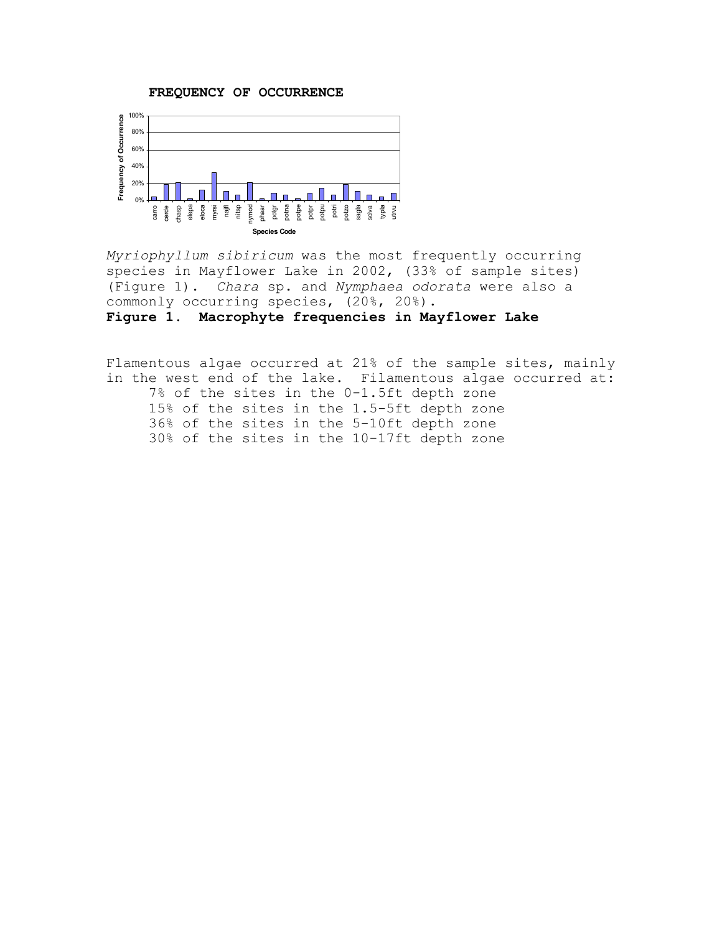**FREQUENCY OF OCCURRENCE**



*Myriophyllum sibiricum* was the most frequently occurring species in Mayflower Lake in 2002, (33% of sample sites) (Figure 1). *Chara* sp. and *Nymphaea odorata* were also a commonly occurring species, (20%, 20%). **Figure 1. Macrophyte frequencies in Mayflower Lake**

Flamentous algae occurred at 21% of the sample sites, mainly in the west end of the lake. Filamentous algae occurred at: 7% of the sites in the 0-1.5ft depth zone 15% of the sites in the 1.5-5ft depth zone 36% of the sites in the 5-10ft depth zone 30% of the sites in the 10-17ft depth zone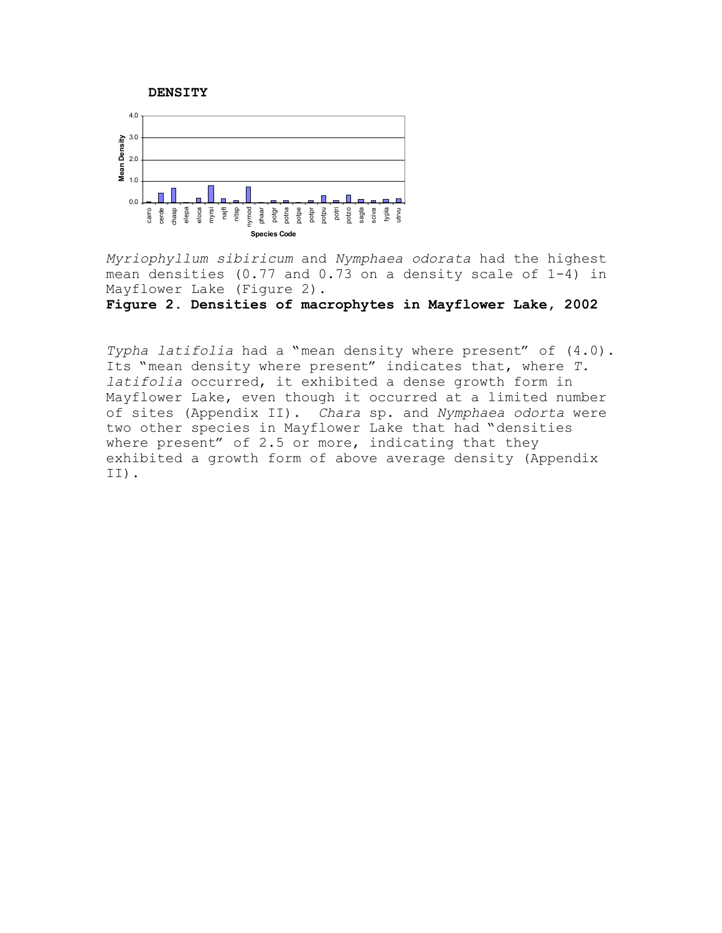



*Myriophyllum sibiricum* and *Nymphaea odorata* had the highest mean densities (0.77 and 0.73 on a density scale of 1-4) in Mayflower Lake (Figure 2).

**Figure 2. Densities of macrophytes in Mayflower Lake, 2002**

*Typha latifolia* had a "mean density where present" of (4.0). Its "mean density where present" indicates that, where *T. latifolia* occurred, it exhibited a dense growth form in Mayflower Lake, even though it occurred at a limited number of sites (Appendix II). *Chara* sp. and *Nymphaea odorta* were two other species in Mayflower Lake that had "densities where present" of 2.5 or more, indicating that they exhibited a growth form of above average density (Appendix II).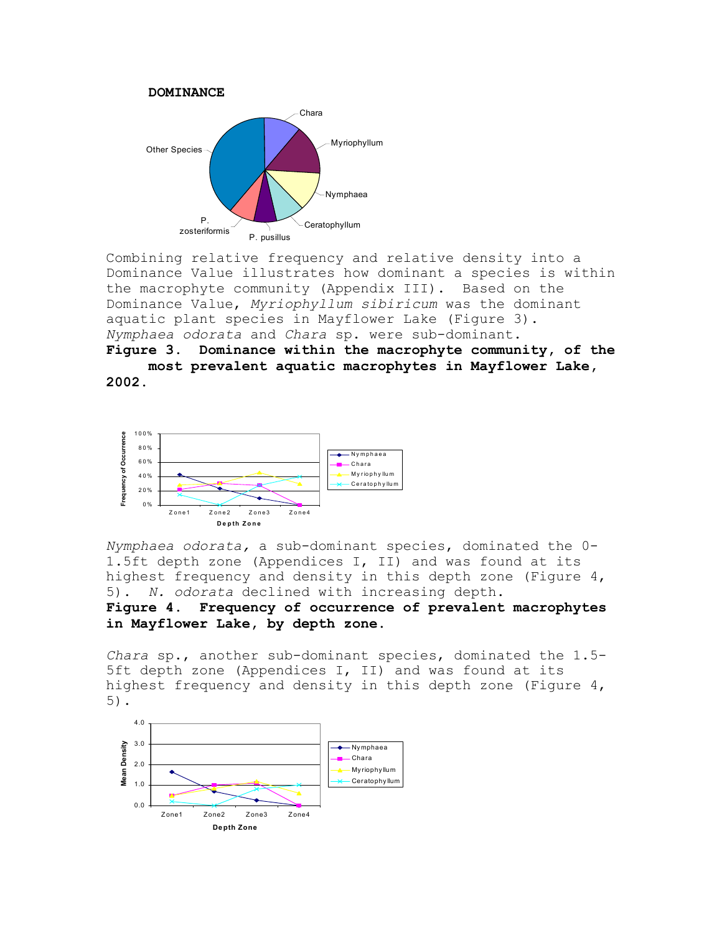

Combining relative frequency and relative density into a Dominance Value illustrates how dominant a species is within the macrophyte community (Appendix III). Based on the Dominance Value, *Myriophyllum sibiricum* was the dominant aquatic plant species in Mayflower Lake (Figure 3). *Nymphaea odorata* and *Chara* sp. were sub-dominant.

**Figure 3. Dominance within the macrophyte community, of the most prevalent aquatic macrophytes in Mayflower Lake, 2002.**



*Nymphaea odorata,* a sub-dominant species, dominated the 0- 1.5ft depth zone (Appendices I, II) and was found at its highest frequency and density in this depth zone (Figure 4, 5). *N. odorata* declined with increasing depth.

**Figure 4. Frequency of occurrence of prevalent macrophytes in Mayflower Lake, by depth zone.**

*Chara* sp., another sub-dominant species, dominated the 1.5- 5ft depth zone (Appendices I, II) and was found at its highest frequency and density in this depth zone (Figure 4, 5).

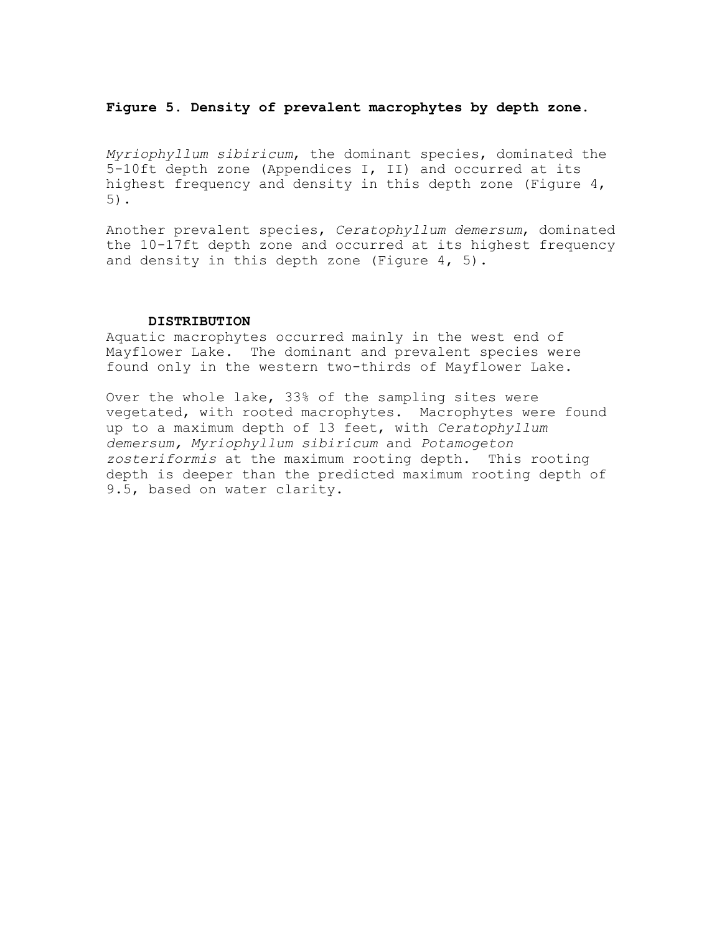## **Figure 5. Density of prevalent macrophytes by depth zone.**

*Myriophyllum sibiricum*, the dominant species, dominated the 5-10ft depth zone (Appendices I, II) and occurred at its highest frequency and density in this depth zone (Figure 4, 5).

Another prevalent species, *Ceratophyllum demersum*, dominated the 10-17ft depth zone and occurred at its highest frequency and density in this depth zone (Figure 4, 5).

## **DISTRIBUTION**

Aquatic macrophytes occurred mainly in the west end of Mayflower Lake. The dominant and prevalent species were found only in the western two-thirds of Mayflower Lake.

Over the whole lake, 33% of the sampling sites were vegetated, with rooted macrophytes. Macrophytes were found up to a maximum depth of 13 feet, with *Ceratophyllum demersum, Myriophyllum sibiricum* and *Potamogeton zosteriformis* at the maximum rooting depth. This rooting depth is deeper than the predicted maximum rooting depth of 9.5, based on water clarity.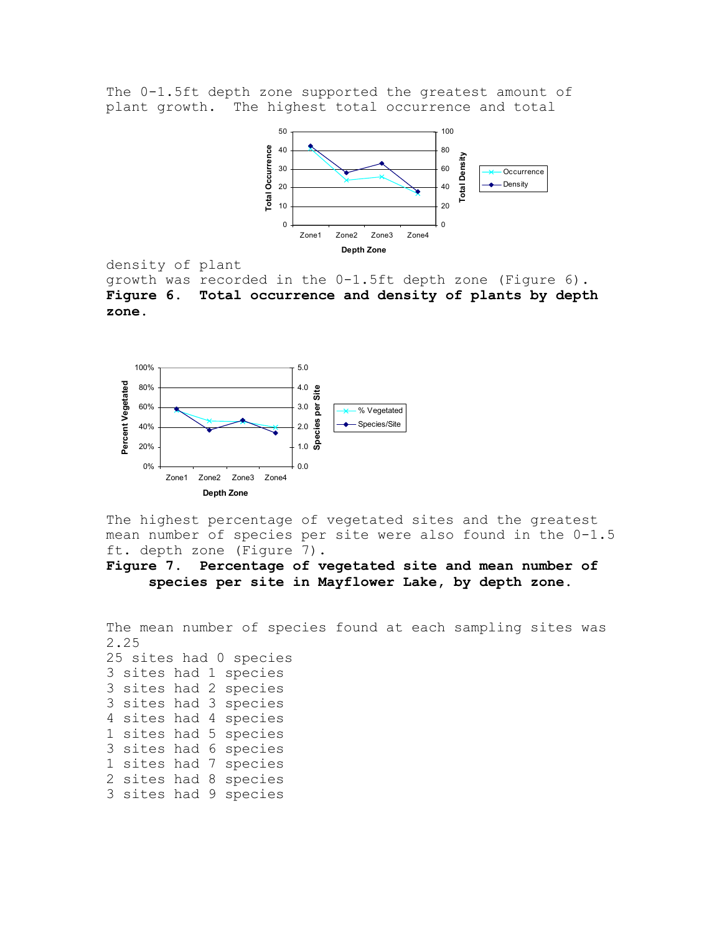The 0-1.5ft depth zone supported the greatest amount of plant growth. The highest total occurrence and total



density of plant

growth was recorded in the 0-1.5ft depth zone (Figure 6). **Figure 6. Total occurrence and density of plants by depth zone.**



The highest percentage of vegetated sites and the greatest mean number of species per site were also found in the 0-1.5 ft. depth zone (Figure 7).

**Figure 7. Percentage of vegetated site and mean number of species per site in Mayflower Lake, by depth zone.**

The mean number of species found at each sampling sites was 2.25 25 sites had 0 species 3 sites had 1 species 3 sites had 2 species 3 sites had 3 species 4 sites had 4 species 1 sites had 5 species 3 sites had 6 species 1 sites had 7 species 2 sites had 8 species 3 sites had 9 species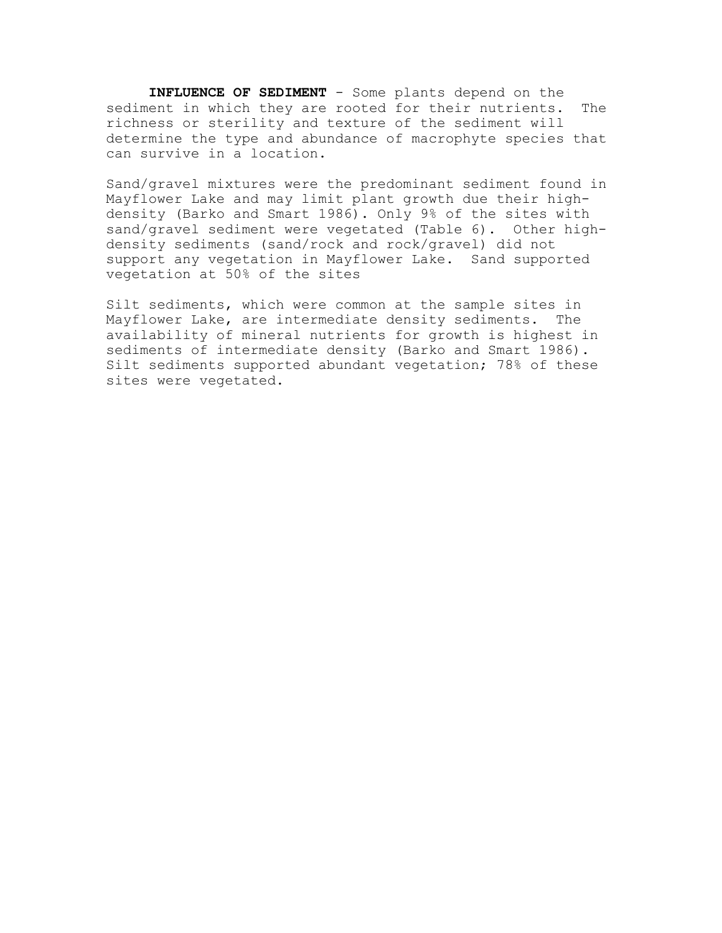**INFLUENCE OF SEDIMENT** - Some plants depend on the sediment in which they are rooted for their nutrients. The richness or sterility and texture of the sediment will determine the type and abundance of macrophyte species that can survive in a location.

Sand/gravel mixtures were the predominant sediment found in Mayflower Lake and may limit plant growth due their highdensity (Barko and Smart 1986). Only 9% of the sites with sand/gravel sediment were vegetated (Table 6). Other highdensity sediments (sand/rock and rock/gravel) did not support any vegetation in Mayflower Lake. Sand supported vegetation at 50% of the sites

Silt sediments, which were common at the sample sites in Mayflower Lake, are intermediate density sediments. The availability of mineral nutrients for growth is highest in sediments of intermediate density (Barko and Smart 1986). Silt sediments supported abundant vegetation; 78% of these sites were vegetated.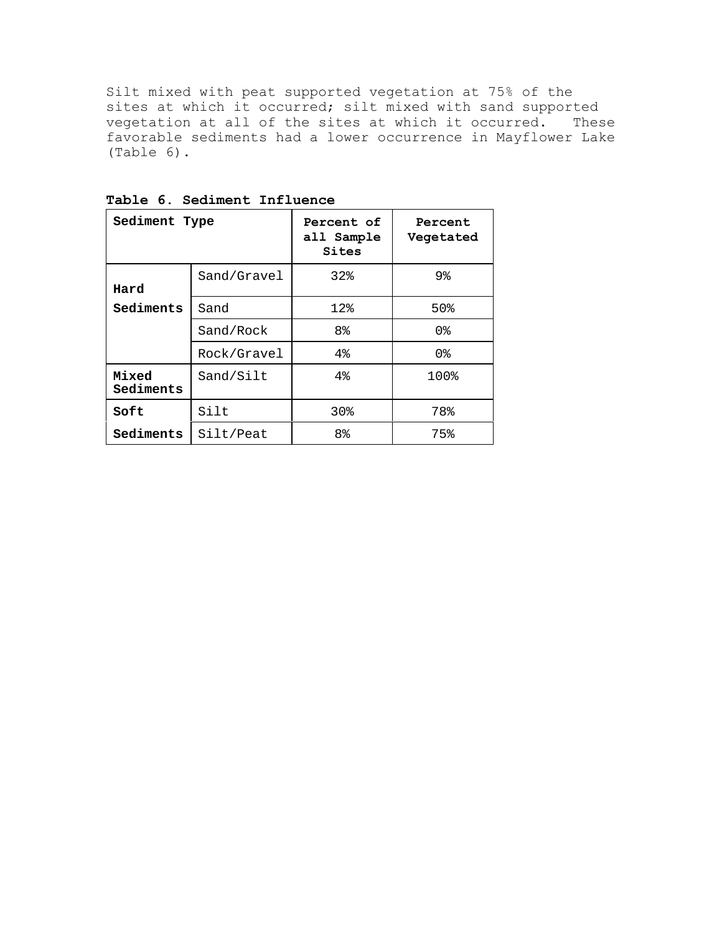Silt mixed with peat supported vegetation at 75% of the sites at which it occurred; silt mixed with sand supported vegetation at all of the sites at which it occurred. These favorable sediments had a lower occurrence in Mayflower Lake (Table 6).

| Sediment Type      |             | Percent of<br>all Sample<br>Sites | Percent<br>Vegetated |
|--------------------|-------------|-----------------------------------|----------------------|
| Hard               | Sand/Gravel | 32 <sub>8</sub>                   | 9%                   |
| Sediments          | Sand        | $12$ %                            | 50%                  |
|                    | Sand/Rock   | 8 <sup>°</sup>                    | 0 <sup>8</sup>       |
|                    | Rock/Gravel | 4%                                | 0 <sup>8</sup>       |
| Mixed<br>Sediments | Sand/Silt   | $4\%$                             | 100%                 |
| Soft               | Silt        | 30 <sub>8</sub>                   | 78%                  |
| Sediments          | Silt/Peat   | 8 <sup>°</sup>                    | 75%                  |

**Table 6. Sediment Influence**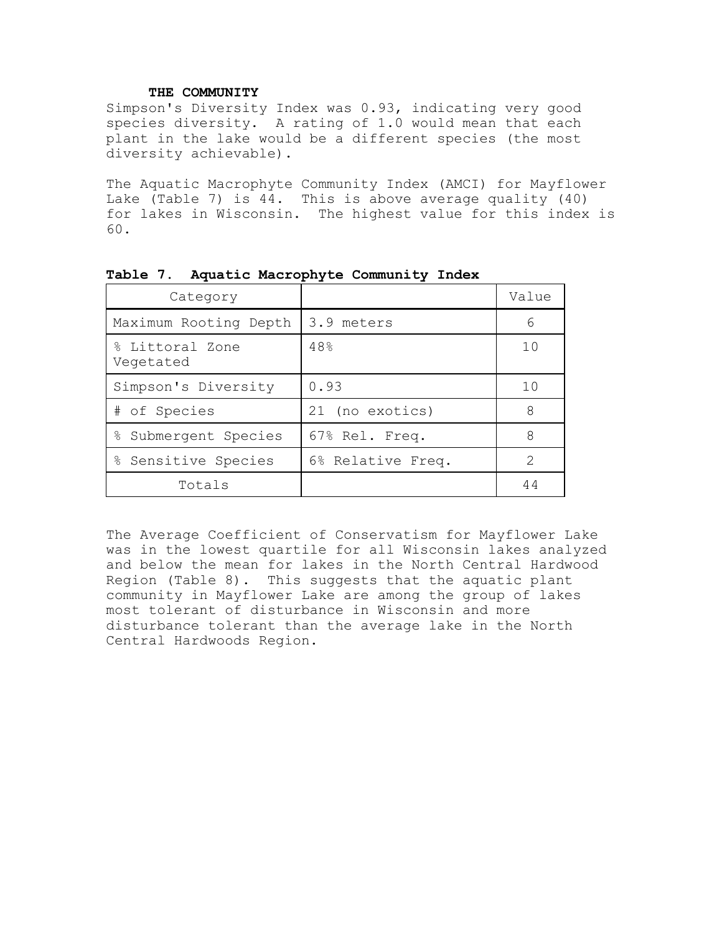# **THE COMMUNITY**

Simpson's Diversity Index was 0.93, indicating very good species diversity. A rating of 1.0 would mean that each plant in the lake would be a different species (the most diversity achievable).

The Aquatic Macrophyte Community Index (AMCI) for Mayflower Lake (Table 7) is 44. This is above average quality (40) for lakes in Wisconsin. The highest value for this index is 60.

| Category                     |                   | Value |
|------------------------------|-------------------|-------|
| Maximum Rooting Depth        | 3.9 meters        | 6     |
| % Littoral Zone<br>Vegetated | 48%               | 10    |
| Simpson's Diversity          | 0.93              | 10    |
| # of Species                 | 21 (no exotics)   | 8     |
| ⊱<br>Submergent Species      | 67% Rel. Freq.    | 8     |
| % Sensitive Species          | 6% Relative Freq. | 2     |
| Totals                       |                   | 44    |

**Table 7. Aquatic Macrophyte Community Index**

The Average Coefficient of Conservatism for Mayflower Lake was in the lowest quartile for all Wisconsin lakes analyzed and below the mean for lakes in the North Central Hardwood Region (Table 8). This suggests that the aquatic plant community in Mayflower Lake are among the group of lakes most tolerant of disturbance in Wisconsin and more disturbance tolerant than the average lake in the North Central Hardwoods Region.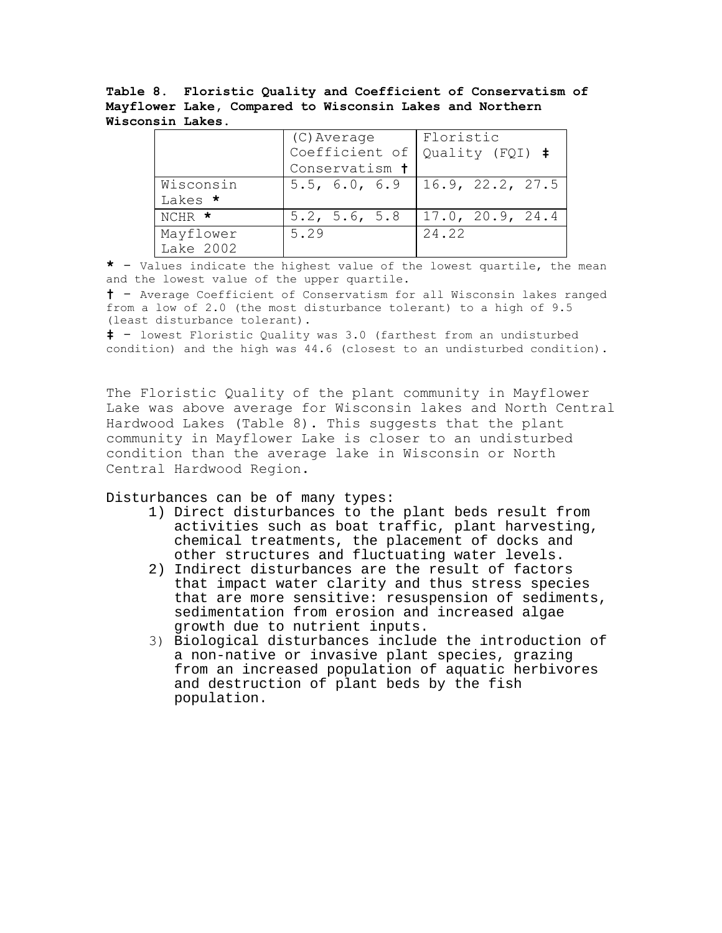**Table 8. Floristic Quality and Coefficient of Conservatism of Mayflower Lake, Compared to Wisconsin Lakes and Northern Wisconsin Lakes.**

|              | (C) Average    | Floristic        |
|--------------|----------------|------------------|
|              | Coefficient of | Quality (FQI) #  |
|              | Conservatism t |                  |
| Wisconsin    | 5.5, 6.0, 6.9  | 16.9, 22.2, 27.5 |
| Lakes *      |                |                  |
| NCHR $\star$ | 5.2, 5.6, 5.8  | 17.0, 20.9, 24.4 |
| Mayflower    | 5.29           | 24.22            |
| Lake 2002    |                |                  |

**\*** - Values indicate the highest value of the lowest quartile, the mean and the lowest value of the upper quartile.

**†** - Average Coefficient of Conservatism for all Wisconsin lakes ranged from a low of 2.0 (the most disturbance tolerant) to a high of 9.5 (least disturbance tolerant).

**‡** - lowest Floristic Quality was 3.0 (farthest from an undisturbed condition) and the high was 44.6 (closest to an undisturbed condition).

The Floristic Quality of the plant community in Mayflower Lake was above average for Wisconsin lakes and North Central Hardwood Lakes (Table 8). This suggests that the plant community in Mayflower Lake is closer to an undisturbed condition than the average lake in Wisconsin or North Central Hardwood Region.

Disturbances can be of many types:

- 1) Direct disturbances to the plant beds result from activities such as boat traffic, plant harvesting, chemical treatments, the placement of docks and other structures and fluctuating water levels.
- 2) Indirect disturbances are the result of factors that impact water clarity and thus stress species that are more sensitive: resuspension of sediments, sedimentation from erosion and increased algae growth due to nutrient inputs.
- 3) Biological disturbances include the introduction of a non-native or invasive plant species, grazing from an increased population of aquatic herbivores and destruction of plant beds by the fish population.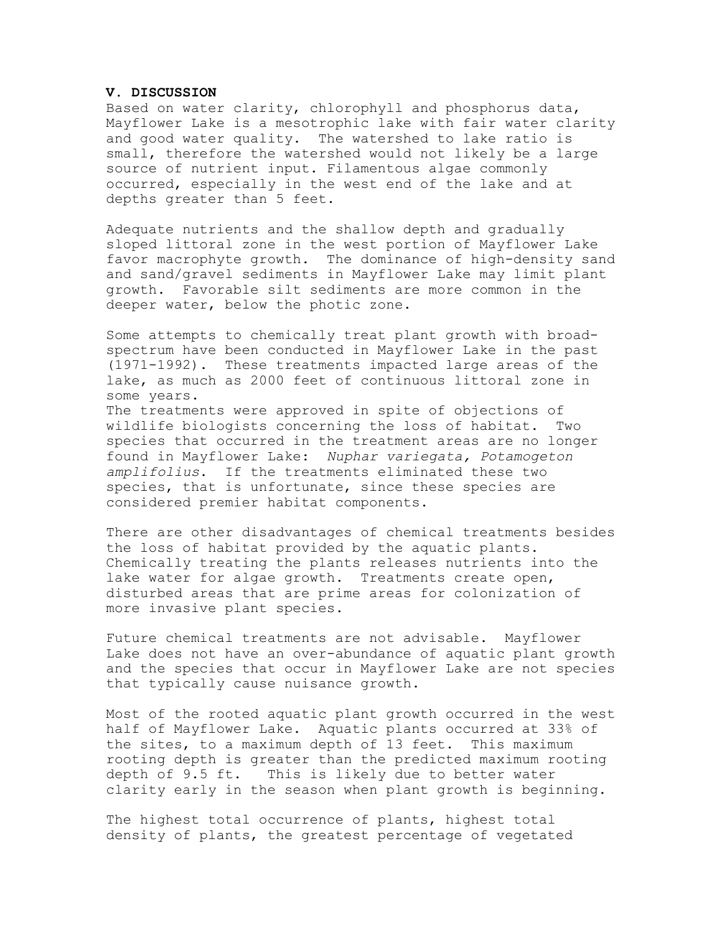## **V. DISCUSSION**

Based on water clarity, chlorophyll and phosphorus data, Mayflower Lake is a mesotrophic lake with fair water clarity and good water quality. The watershed to lake ratio is small, therefore the watershed would not likely be a large source of nutrient input. Filamentous algae commonly occurred, especially in the west end of the lake and at depths greater than 5 feet.

Adequate nutrients and the shallow depth and gradually sloped littoral zone in the west portion of Mayflower Lake favor macrophyte growth. The dominance of high-density sand and sand/gravel sediments in Mayflower Lake may limit plant growth. Favorable silt sediments are more common in the deeper water, below the photic zone.

Some attempts to chemically treat plant growth with broadspectrum have been conducted in Mayflower Lake in the past (1971-1992). These treatments impacted large areas of the lake, as much as 2000 feet of continuous littoral zone in some years.

The treatments were approved in spite of objections of wildlife biologists concerning the loss of habitat. Two species that occurred in the treatment areas are no longer found in Mayflower Lake: *Nuphar variegata, Potamogeton amplifolius*. If the treatments eliminated these two species, that is unfortunate, since these species are considered premier habitat components.

There are other disadvantages of chemical treatments besides the loss of habitat provided by the aquatic plants. Chemically treating the plants releases nutrients into the lake water for algae growth. Treatments create open, disturbed areas that are prime areas for colonization of more invasive plant species.

Future chemical treatments are not advisable. Mayflower Lake does not have an over-abundance of aquatic plant growth and the species that occur in Mayflower Lake are not species that typically cause nuisance growth.

Most of the rooted aquatic plant growth occurred in the west half of Mayflower Lake. Aquatic plants occurred at 33% of the sites, to a maximum depth of 13 feet. This maximum rooting depth is greater than the predicted maximum rooting depth of 9.5 ft. This is likely due to better water clarity early in the season when plant growth is beginning.

The highest total occurrence of plants, highest total density of plants, the greatest percentage of vegetated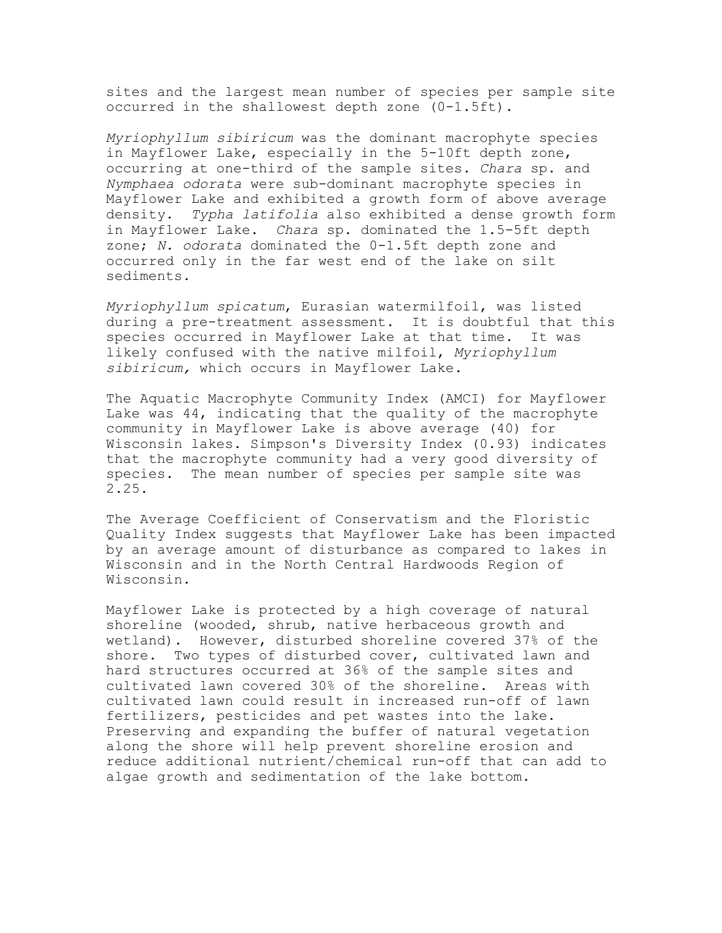sites and the largest mean number of species per sample site occurred in the shallowest depth zone (0-1.5ft).

*Myriophyllum sibiricum* was the dominant macrophyte species in Mayflower Lake, especially in the 5-10ft depth zone, occurring at one-third of the sample sites. *Chara* sp. and *Nymphaea odorata* were sub-dominant macrophyte species in Mayflower Lake and exhibited a growth form of above average density. *Typha latifolia* also exhibited a dense growth form in Mayflower Lake. *Chara* sp. dominated the 1.5-5ft depth zone; *N. odorata* dominated the 0-1.5ft depth zone and occurred only in the far west end of the lake on silt sediments.

*Myriophyllum spicatum*, Eurasian watermilfoil, was listed during a pre-treatment assessment. It is doubtful that this species occurred in Mayflower Lake at that time. It was likely confused with the native milfoil, *Myriophyllum sibiricum,* which occurs in Mayflower Lake*.*

The Aquatic Macrophyte Community Index (AMCI) for Mayflower Lake was 44, indicating that the quality of the macrophyte community in Mayflower Lake is above average (40) for Wisconsin lakes. Simpson's Diversity Index (0.93) indicates that the macrophyte community had a very good diversity of species. The mean number of species per sample site was 2.25.

The Average Coefficient of Conservatism and the Floristic Quality Index suggests that Mayflower Lake has been impacted by an average amount of disturbance as compared to lakes in Wisconsin and in the North Central Hardwoods Region of Wisconsin.

Mayflower Lake is protected by a high coverage of natural shoreline (wooded, shrub, native herbaceous growth and wetland). However, disturbed shoreline covered 37% of the shore. Two types of disturbed cover, cultivated lawn and hard structures occurred at 36% of the sample sites and cultivated lawn covered 30% of the shoreline. Areas with cultivated lawn could result in increased run-off of lawn fertilizers, pesticides and pet wastes into the lake. Preserving and expanding the buffer of natural vegetation along the shore will help prevent shoreline erosion and reduce additional nutrient/chemical run-off that can add to algae growth and sedimentation of the lake bottom.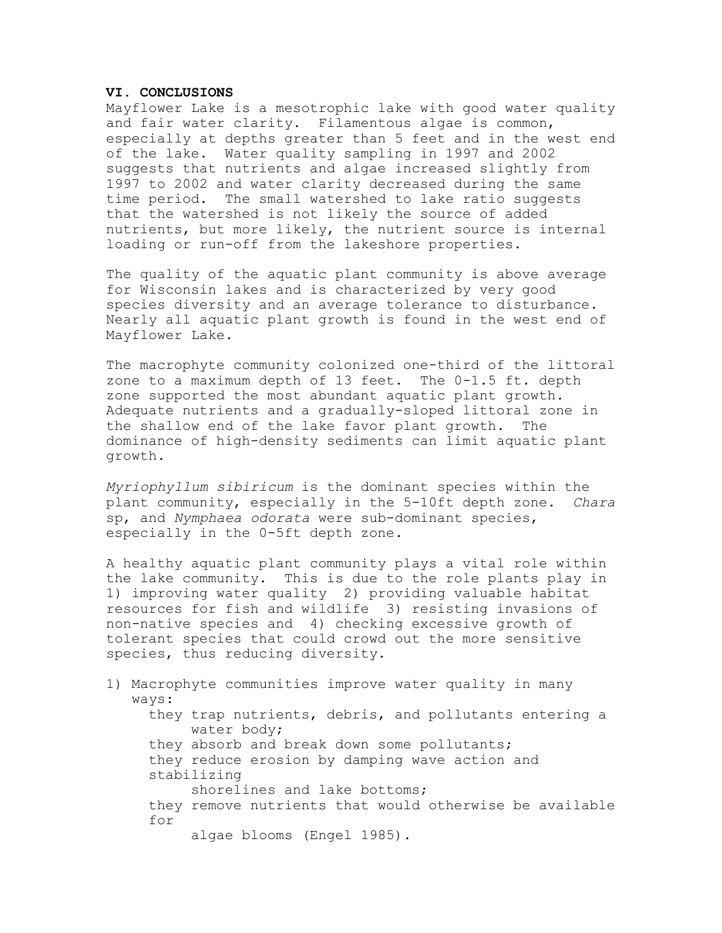## **VI. CONCLUSIONS**

Mayflower Lake is a mesotrophic lake with good water quality and fair water clarity. Filamentous algae is common, especially at depths greater than 5 feet and in the west end of the lake. Water quality sampling in 1997 and 2002 suggests that nutrients and algae increased slightly from 1997 to 2002 and water clarity decreased during the same time period. The small watershed to lake ratio suggests that the watershed is not likely the source of added nutrients, but more likely, the nutrient source is internal loading or run-off from the lakeshore properties.

The quality of the aquatic plant community is above average for Wisconsin lakes and is characterized by very good species diversity and an average tolerance to disturbance. Nearly all aquatic plant growth is found in the west end of Mayflower Lake.

The macrophyte community colonized one-third of the littoral zone to a maximum depth of 13 feet. The 0-1.5 ft. depth zone supported the most abundant aquatic plant growth. Adequate nutrients and a gradually-sloped littoral zone in the shallow end of the lake favor plant growth. The dominance of high-density sediments can limit aquatic plant growth.

*Myriophyllum sibiricum* is the dominant species within the plant community, especially in the 5-10ft depth zone. *Chara* sp, and *Nymphaea odorata* were sub-dominant species, especially in the 0-5ft depth zone.

A healthy aquatic plant community plays a vital role within the lake community. This is due to the role plants play in 1) improving water quality 2) providing valuable habitat resources for fish and wildlife 3) resisting invasions of non-native species and 4) checking excessive growth of tolerant species that could crowd out the more sensitive species, thus reducing diversity.

1) Macrophyte communities improve water quality in many ways: they trap nutrients, debris, and pollutants entering a water body; they absorb and break down some pollutants; they reduce erosion by damping wave action and stabilizing shorelines and lake bottoms; they remove nutrients that would otherwise be available for algae blooms (Engel 1985).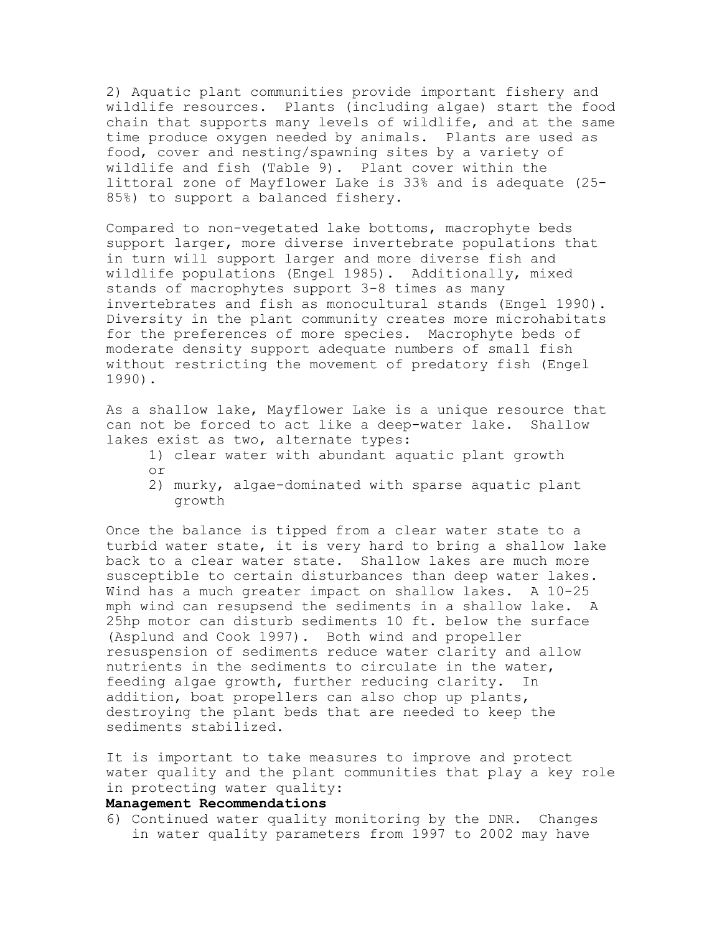2) Aquatic plant communities provide important fishery and wildlife resources. Plants (including algae) start the food chain that supports many levels of wildlife, and at the same time produce oxygen needed by animals. Plants are used as food, cover and nesting/spawning sites by a variety of wildlife and fish (Table 9). Plant cover within the littoral zone of Mayflower Lake is 33% and is adequate (25- 85%) to support a balanced fishery.

Compared to non-vegetated lake bottoms, macrophyte beds support larger, more diverse invertebrate populations that in turn will support larger and more diverse fish and wildlife populations (Engel 1985). Additionally, mixed stands of macrophytes support 3-8 times as many invertebrates and fish as monocultural stands (Engel 1990). Diversity in the plant community creates more microhabitats for the preferences of more species. Macrophyte beds of moderate density support adequate numbers of small fish without restricting the movement of predatory fish (Engel 1990).

As a shallow lake, Mayflower Lake is a unique resource that<br>can not be forced to act like a deep-water lake. Shallow can not be forced to act like a deep-water lake. lakes exist as two, alternate types:

- 1) clear water with abundant aquatic plant growth or
- 2) murky, algae-dominated with sparse aquatic plant growth

Once the balance is tipped from a clear water state to a turbid water state, it is very hard to bring a shallow lake back to a clear water state. Shallow lakes are much more susceptible to certain disturbances than deep water lakes. Wind has a much greater impact on shallow lakes. A 10-25 mph wind can resupsend the sediments in a shallow lake. A 25hp motor can disturb sediments 10 ft. below the surface (Asplund and Cook 1997). Both wind and propeller resuspension of sediments reduce water clarity and allow nutrients in the sediments to circulate in the water, feeding algae growth, further reducing clarity. In addition, boat propellers can also chop up plants, destroying the plant beds that are needed to keep the sediments stabilized.

It is important to take measures to improve and protect water quality and the plant communities that play a key role in protecting water quality:

# **Management Recommendations**

6) Continued water quality monitoring by the DNR. Changes in water quality parameters from 1997 to 2002 may have